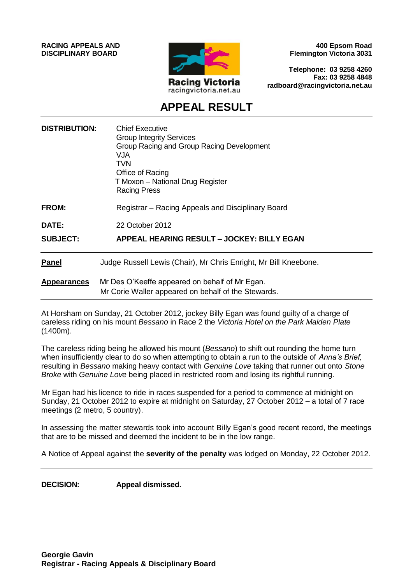**RACING APPEALS AND DISCIPLINARY BOARD**



**400 Epsom Road Flemington Victoria 3031**

**Telephone: 03 9258 4260 Fax: 03 9258 4848 radboard@racingvictoria.net.au**

# **APPEAL RESULT**

| <b>DISTRIBUTION:</b> | <b>Chief Executive</b><br><b>Group Integrity Services</b><br>Group Racing and Group Racing Development<br>VJA<br>TVN<br>Office of Racing<br>T Moxon – National Drug Register<br><b>Racing Press</b> |
|----------------------|-----------------------------------------------------------------------------------------------------------------------------------------------------------------------------------------------------|
| <b>FROM:</b>         | Registrar – Racing Appeals and Disciplinary Board                                                                                                                                                   |
| <b>DATE:</b>         | 22 October 2012                                                                                                                                                                                     |
| <b>SUBJECT:</b>      | APPEAL HEARING RESULT - JOCKEY: BILLY EGAN                                                                                                                                                          |
| <b>Panel</b>         | Judge Russell Lewis (Chair), Mr Chris Enright, Mr Bill Kneebone.                                                                                                                                    |
| <b>Appearances</b>   | Mr Des O'Keeffe appeared on behalf of Mr Egan.<br>Mr Corie Waller appeared on behalf of the Stewards.                                                                                               |

At Horsham on Sunday, 21 October 2012, jockey Billy Egan was found guilty of a charge of careless riding on his mount *Bessano* in Race 2 the *Victoria Hotel on the Park Maiden Plate*  (1400m).

The careless riding being he allowed his mount (*Bessano*) to shift out rounding the home turn when insufficiently clear to do so when attempting to obtain a run to the outside of *Anna's Brief,* resulting in *Bessano* making heavy contact with *Genuine Love* taking that runner out onto *Stone Broke* with *Genuine Love* being placed in restricted room and losing its rightful running.

Mr Egan had his licence to ride in races suspended for a period to commence at midnight on Sunday, 21 October 2012 to expire at midnight on Saturday, 27 October 2012 – a total of 7 race meetings (2 metro, 5 country).

In assessing the matter stewards took into account Billy Egan's good recent record, the meetings that are to be missed and deemed the incident to be in the low range.

A Notice of Appeal against the **severity of the penalty** was lodged on Monday, 22 October 2012.

**DECISION: Appeal dismissed.**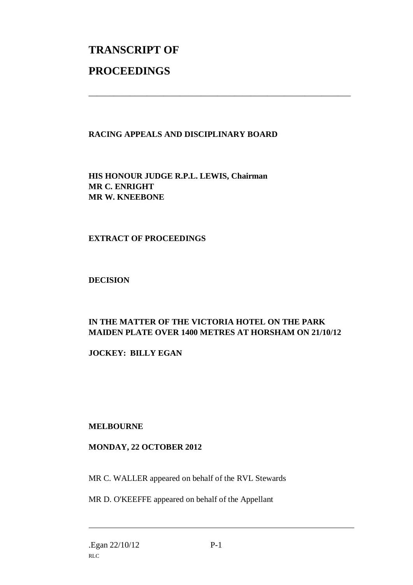# **TRANSCRIPT OF PROCEEDINGS**

### **RACING APPEALS AND DISCIPLINARY BOARD**

\_\_\_\_\_\_\_\_\_\_\_\_\_\_\_\_\_\_\_\_\_\_\_\_\_\_\_\_\_\_\_\_\_\_\_\_\_\_\_\_\_\_\_\_\_\_\_\_\_\_\_\_\_\_\_\_\_\_\_\_\_\_\_

**HIS HONOUR JUDGE R.P.L. LEWIS, Chairman MR C. ENRIGHT MR W. KNEEBONE**

#### **EXTRACT OF PROCEEDINGS**

**DECISION**

## **IN THE MATTER OF THE VICTORIA HOTEL ON THE PARK MAIDEN PLATE OVER 1400 METRES AT HORSHAM ON 21/10/12**

**JOCKEY: BILLY EGAN**

#### **MELBOURNE**

#### **MONDAY, 22 OCTOBER 2012**

MR C. WALLER appeared on behalf of the RVL Stewards

MR D. O'KEEFFE appeared on behalf of the Appellant